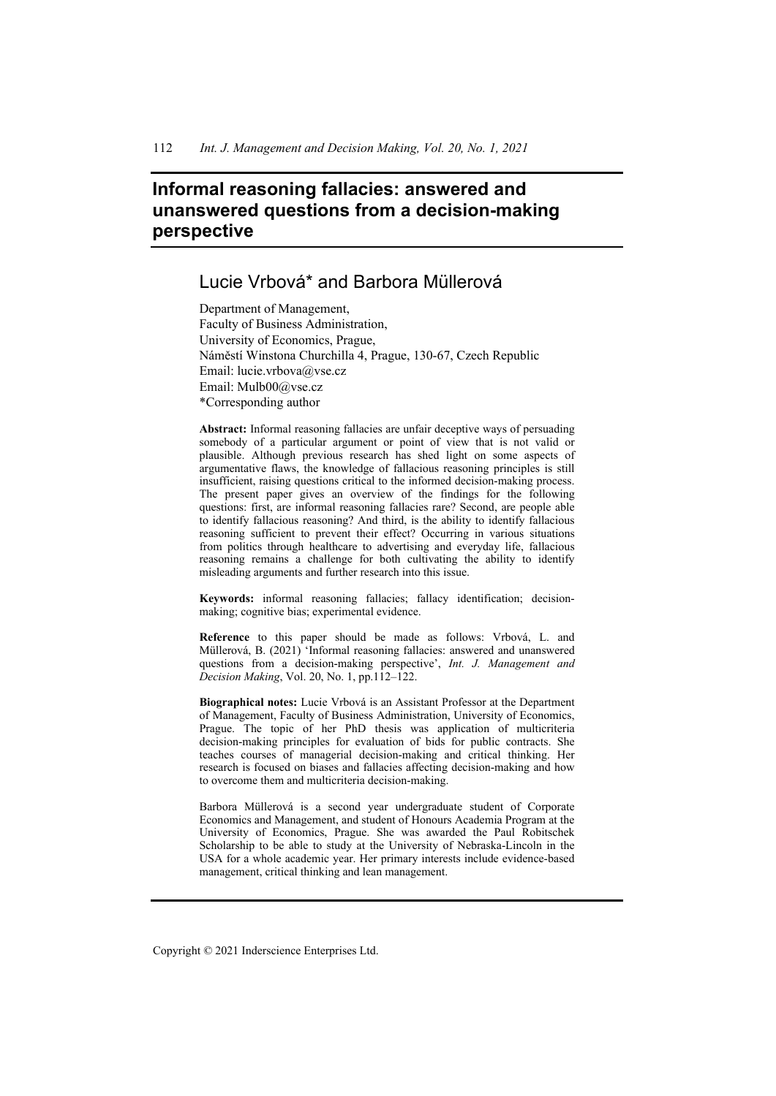# **Informal reasoning fallacies: answered and unanswered questions from a decision-making perspective**

# Lucie Vrbová\* and Barbora Müllerová

Department of Management, Faculty of Business Administration, University of Economics, Prague, Náměstí Winstona Churchilla 4, Prague, 130-67, Czech Republic Email: lucie.vrbova@vse.cz Email: Mulb00@vse.cz \*Corresponding author

**Abstract:** Informal reasoning fallacies are unfair deceptive ways of persuading somebody of a particular argument or point of view that is not valid or plausible. Although previous research has shed light on some aspects of argumentative flaws, the knowledge of fallacious reasoning principles is still insufficient, raising questions critical to the informed decision-making process. The present paper gives an overview of the findings for the following questions: first, are informal reasoning fallacies rare? Second, are people able to identify fallacious reasoning? And third, is the ability to identify fallacious reasoning sufficient to prevent their effect? Occurring in various situations from politics through healthcare to advertising and everyday life, fallacious reasoning remains a challenge for both cultivating the ability to identify misleading arguments and further research into this issue.

**Keywords:** informal reasoning fallacies; fallacy identification; decisionmaking; cognitive bias; experimental evidence.

**Reference** to this paper should be made as follows: Vrbová, L. and Müllerová, B. (2021) 'Informal reasoning fallacies: answered and unanswered questions from a decision-making perspective', *Int. J. Management and Decision Making*, Vol. 20, No. 1, pp.112–122.

**Biographical notes:** Lucie Vrbová is an Assistant Professor at the Department of Management, Faculty of Business Administration, University of Economics, Prague. The topic of her PhD thesis was application of multicriteria decision-making principles for evaluation of bids for public contracts. She teaches courses of managerial decision-making and critical thinking. Her research is focused on biases and fallacies affecting decision-making and how to overcome them and multicriteria decision-making.

Barbora Müllerová is a second year undergraduate student of Corporate Economics and Management, and student of Honours Academia Program at the University of Economics, Prague. She was awarded the Paul Robitschek Scholarship to be able to study at the University of Nebraska-Lincoln in the USA for a whole academic year. Her primary interests include evidence-based management, critical thinking and lean management.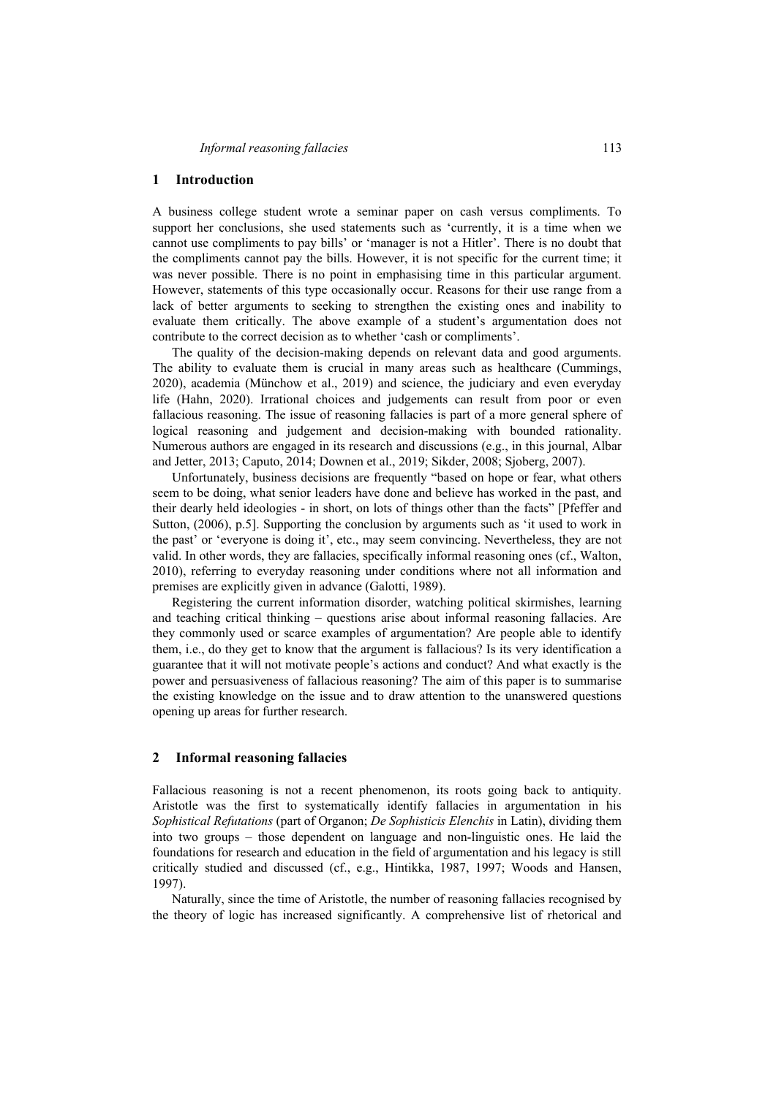#### **1 Introduction**

A business college student wrote a seminar paper on cash versus compliments. To support her conclusions, she used statements such as 'currently, it is a time when we cannot use compliments to pay bills' or 'manager is not a Hitler'. There is no doubt that the compliments cannot pay the bills. However, it is not specific for the current time; it was never possible. There is no point in emphasising time in this particular argument. However, statements of this type occasionally occur. Reasons for their use range from a lack of better arguments to seeking to strengthen the existing ones and inability to evaluate them critically. The above example of a student's argumentation does not contribute to the correct decision as to whether 'cash or compliments'.

The quality of the decision-making depends on relevant data and good arguments. The ability to evaluate them is crucial in many areas such as healthcare (Cummings, 2020), academia (Münchow et al., 2019) and science, the judiciary and even everyday life (Hahn, 2020). Irrational choices and judgements can result from poor or even fallacious reasoning. The issue of reasoning fallacies is part of a more general sphere of logical reasoning and judgement and decision-making with bounded rationality. Numerous authors are engaged in its research and discussions (e.g., in this journal, Albar and Jetter, 2013; Caputo, 2014; Downen et al., 2019; Sikder, 2008; Sjoberg, 2007).

Unfortunately, business decisions are frequently "based on hope or fear, what others seem to be doing, what senior leaders have done and believe has worked in the past, and their dearly held ideologies - in short, on lots of things other than the facts" [Pfeffer and Sutton, (2006), p.5]. Supporting the conclusion by arguments such as 'it used to work in the past' or 'everyone is doing it', etc., may seem convincing. Nevertheless, they are not valid. In other words, they are fallacies, specifically informal reasoning ones (cf., Walton, 2010), referring to everyday reasoning under conditions where not all information and premises are explicitly given in advance (Galotti, 1989).

Registering the current information disorder, watching political skirmishes, learning and teaching critical thinking – questions arise about informal reasoning fallacies. Are they commonly used or scarce examples of argumentation? Are people able to identify them, i.e., do they get to know that the argument is fallacious? Is its very identification a guarantee that it will not motivate people's actions and conduct? And what exactly is the power and persuasiveness of fallacious reasoning? The aim of this paper is to summarise the existing knowledge on the issue and to draw attention to the unanswered questions opening up areas for further research.

#### **2 Informal reasoning fallacies**

Fallacious reasoning is not a recent phenomenon, its roots going back to antiquity. Aristotle was the first to systematically identify fallacies in argumentation in his *Sophistical Refutations* (part of Organon; *De Sophisticis Elenchis* in Latin), dividing them into two groups – those dependent on language and non-linguistic ones. He laid the foundations for research and education in the field of argumentation and his legacy is still critically studied and discussed (cf., e.g., Hintikka, 1987, 1997; Woods and Hansen, 1997).

Naturally, since the time of Aristotle, the number of reasoning fallacies recognised by the theory of logic has increased significantly. A comprehensive list of rhetorical and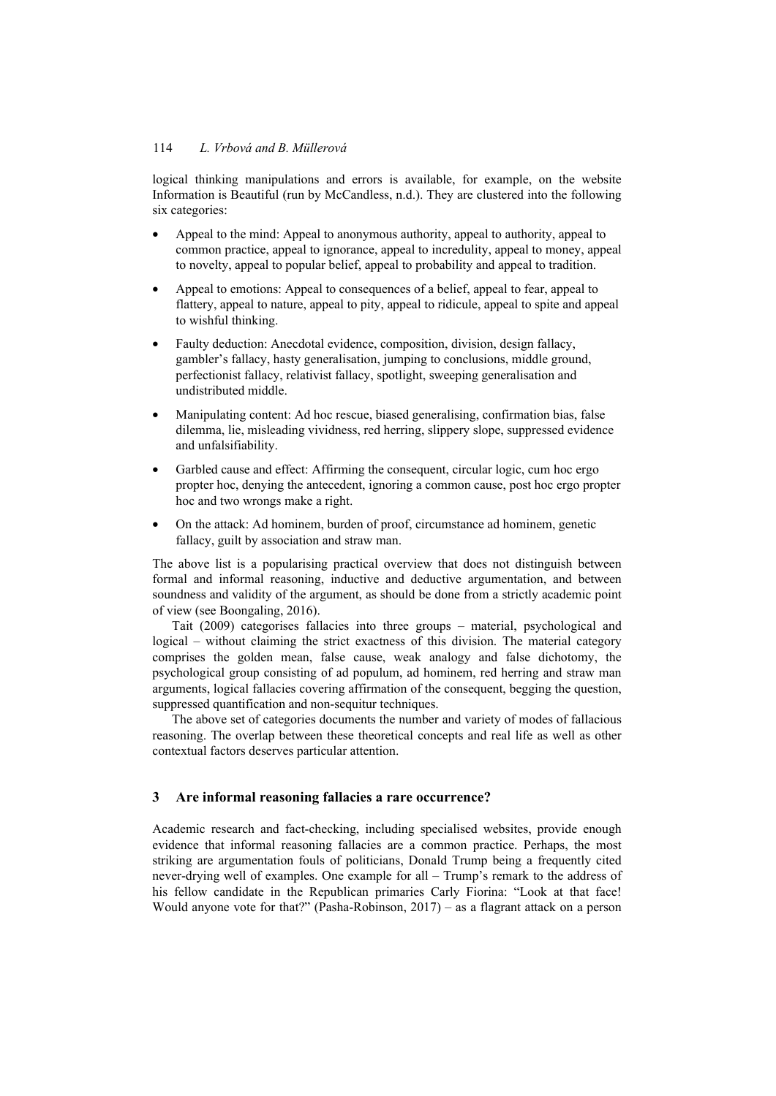logical thinking manipulations and errors is available, for example, on the website Information is Beautiful (run by McCandless, n.d.). They are clustered into the following six categories:

- Appeal to the mind: Appeal to anonymous authority, appeal to authority, appeal to common practice, appeal to ignorance, appeal to incredulity, appeal to money, appeal to novelty, appeal to popular belief, appeal to probability and appeal to tradition.
- Appeal to emotions: Appeal to consequences of a belief, appeal to fear, appeal to flattery, appeal to nature, appeal to pity, appeal to ridicule, appeal to spite and appeal to wishful thinking.
- Faulty deduction: Anecdotal evidence, composition, division, design fallacy, gambler's fallacy, hasty generalisation, jumping to conclusions, middle ground, perfectionist fallacy, relativist fallacy, spotlight, sweeping generalisation and undistributed middle.
- Manipulating content: Ad hoc rescue, biased generalising, confirmation bias, false dilemma, lie, misleading vividness, red herring, slippery slope, suppressed evidence and unfalsifiability.
- Garbled cause and effect: Affirming the consequent, circular logic, cum hoc ergo propter hoc, denying the antecedent, ignoring a common cause, post hoc ergo propter hoc and two wrongs make a right.
- On the attack: Ad hominem, burden of proof, circumstance ad hominem, genetic fallacy, guilt by association and straw man.

The above list is a popularising practical overview that does not distinguish between formal and informal reasoning, inductive and deductive argumentation, and between soundness and validity of the argument, as should be done from a strictly academic point of view (see Boongaling, 2016).

Tait (2009) categorises fallacies into three groups – material, psychological and logical – without claiming the strict exactness of this division. The material category comprises the golden mean, false cause, weak analogy and false dichotomy, the psychological group consisting of ad populum, ad hominem, red herring and straw man arguments, logical fallacies covering affirmation of the consequent, begging the question, suppressed quantification and non-sequitur techniques.

The above set of categories documents the number and variety of modes of fallacious reasoning. The overlap between these theoretical concepts and real life as well as other contextual factors deserves particular attention.

# **3 Are informal reasoning fallacies a rare occurrence?**

Academic research and fact-checking, including specialised websites, provide enough evidence that informal reasoning fallacies are a common practice. Perhaps, the most striking are argumentation fouls of politicians, Donald Trump being a frequently cited never-drying well of examples. One example for all – Trump's remark to the address of his fellow candidate in the Republican primaries Carly Fiorina: "Look at that face! Would anyone vote for that?" (Pasha-Robinson, 2017) – as a flagrant attack on a person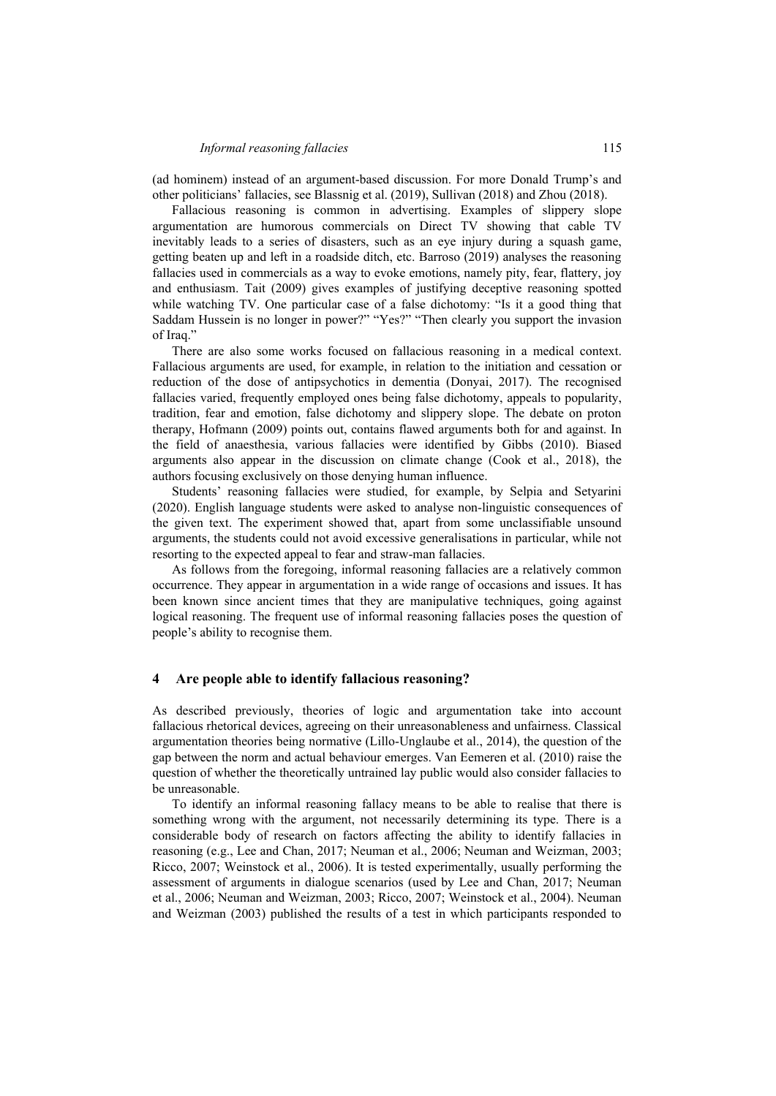(ad hominem) instead of an argument-based discussion. For more Donald Trump's and other politicians' fallacies, see Blassnig et al. (2019), Sullivan (2018) and Zhou (2018).

Fallacious reasoning is common in advertising. Examples of slippery slope argumentation are humorous commercials on Direct TV showing that cable TV inevitably leads to a series of disasters, such as an eye injury during a squash game, getting beaten up and left in a roadside ditch, etc. Barroso (2019) analyses the reasoning fallacies used in commercials as a way to evoke emotions, namely pity, fear, flattery, joy and enthusiasm. Tait (2009) gives examples of justifying deceptive reasoning spotted while watching TV. One particular case of a false dichotomy: "Is it a good thing that Saddam Hussein is no longer in power?" "Yes?" "Then clearly you support the invasion of Iraq."

There are also some works focused on fallacious reasoning in a medical context. Fallacious arguments are used, for example, in relation to the initiation and cessation or reduction of the dose of antipsychotics in dementia (Donyai, 2017). The recognised fallacies varied, frequently employed ones being false dichotomy, appeals to popularity, tradition, fear and emotion, false dichotomy and slippery slope. The debate on proton therapy, Hofmann (2009) points out, contains flawed arguments both for and against. In the field of anaesthesia, various fallacies were identified by Gibbs (2010). Biased arguments also appear in the discussion on climate change (Cook et al., 2018), the authors focusing exclusively on those denying human influence.

Students' reasoning fallacies were studied, for example, by Selpia and Setyarini (2020). English language students were asked to analyse non-linguistic consequences of the given text. The experiment showed that, apart from some unclassifiable unsound arguments, the students could not avoid excessive generalisations in particular, while not resorting to the expected appeal to fear and straw-man fallacies.

As follows from the foregoing, informal reasoning fallacies are a relatively common occurrence. They appear in argumentation in a wide range of occasions and issues. It has been known since ancient times that they are manipulative techniques, going against logical reasoning. The frequent use of informal reasoning fallacies poses the question of people's ability to recognise them.

#### **4 Are people able to identify fallacious reasoning?**

As described previously, theories of logic and argumentation take into account fallacious rhetorical devices, agreeing on their unreasonableness and unfairness. Classical argumentation theories being normative (Lillo-Unglaube et al., 2014), the question of the gap between the norm and actual behaviour emerges. Van Eemeren et al. (2010) raise the question of whether the theoretically untrained lay public would also consider fallacies to be unreasonable.

To identify an informal reasoning fallacy means to be able to realise that there is something wrong with the argument, not necessarily determining its type. There is a considerable body of research on factors affecting the ability to identify fallacies in reasoning (e.g., Lee and Chan, 2017; Neuman et al., 2006; Neuman and Weizman, 2003; Ricco, 2007; Weinstock et al., 2006). It is tested experimentally, usually performing the assessment of arguments in dialogue scenarios (used by Lee and Chan, 2017; Neuman et al., 2006; Neuman and Weizman, 2003; Ricco, 2007; Weinstock et al., 2004). Neuman and Weizman (2003) published the results of a test in which participants responded to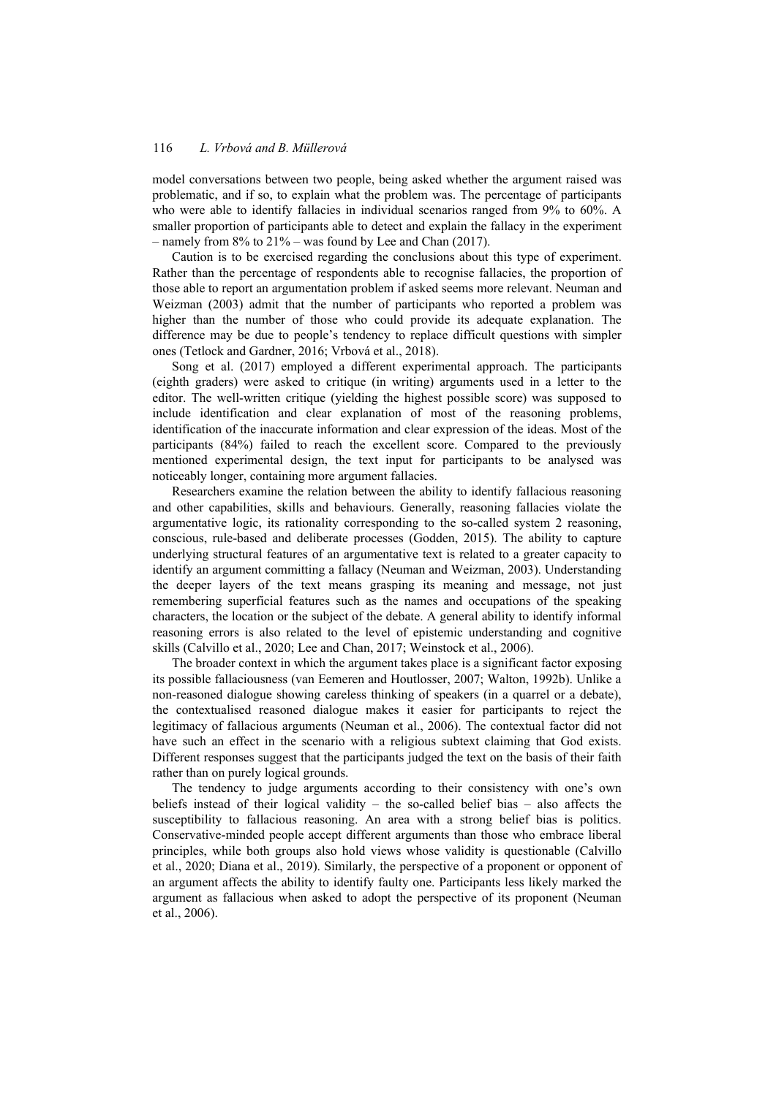model conversations between two people, being asked whether the argument raised was problematic, and if so, to explain what the problem was. The percentage of participants who were able to identify fallacies in individual scenarios ranged from 9% to 60%. A smaller proportion of participants able to detect and explain the fallacy in the experiment – namely from 8% to 21% – was found by Lee and Chan (2017).

Caution is to be exercised regarding the conclusions about this type of experiment. Rather than the percentage of respondents able to recognise fallacies, the proportion of those able to report an argumentation problem if asked seems more relevant. Neuman and Weizman (2003) admit that the number of participants who reported a problem was higher than the number of those who could provide its adequate explanation. The difference may be due to people's tendency to replace difficult questions with simpler ones (Tetlock and Gardner, 2016; Vrbová et al., 2018).

Song et al. (2017) employed a different experimental approach. The participants (eighth graders) were asked to critique (in writing) arguments used in a letter to the editor. The well-written critique (yielding the highest possible score) was supposed to include identification and clear explanation of most of the reasoning problems, identification of the inaccurate information and clear expression of the ideas. Most of the participants (84%) failed to reach the excellent score. Compared to the previously mentioned experimental design, the text input for participants to be analysed was noticeably longer, containing more argument fallacies.

Researchers examine the relation between the ability to identify fallacious reasoning and other capabilities, skills and behaviours. Generally, reasoning fallacies violate the argumentative logic, its rationality corresponding to the so-called system 2 reasoning, conscious, rule-based and deliberate processes (Godden, 2015). The ability to capture underlying structural features of an argumentative text is related to a greater capacity to identify an argument committing a fallacy (Neuman and Weizman, 2003). Understanding the deeper layers of the text means grasping its meaning and message, not just remembering superficial features such as the names and occupations of the speaking characters, the location or the subject of the debate. A general ability to identify informal reasoning errors is also related to the level of epistemic understanding and cognitive skills (Calvillo et al., 2020; Lee and Chan, 2017; Weinstock et al., 2006).

The broader context in which the argument takes place is a significant factor exposing its possible fallaciousness (van Eemeren and Houtlosser, 2007; Walton, 1992b). Unlike a non-reasoned dialogue showing careless thinking of speakers (in a quarrel or a debate), the contextualised reasoned dialogue makes it easier for participants to reject the legitimacy of fallacious arguments (Neuman et al., 2006). The contextual factor did not have such an effect in the scenario with a religious subtext claiming that God exists. Different responses suggest that the participants judged the text on the basis of their faith rather than on purely logical grounds.

The tendency to judge arguments according to their consistency with one's own beliefs instead of their logical validity – the so-called belief bias – also affects the susceptibility to fallacious reasoning. An area with a strong belief bias is politics. Conservative-minded people accept different arguments than those who embrace liberal principles, while both groups also hold views whose validity is questionable (Calvillo et al., 2020; Diana et al., 2019). Similarly, the perspective of a proponent or opponent of an argument affects the ability to identify faulty one. Participants less likely marked the argument as fallacious when asked to adopt the perspective of its proponent (Neuman et al., 2006).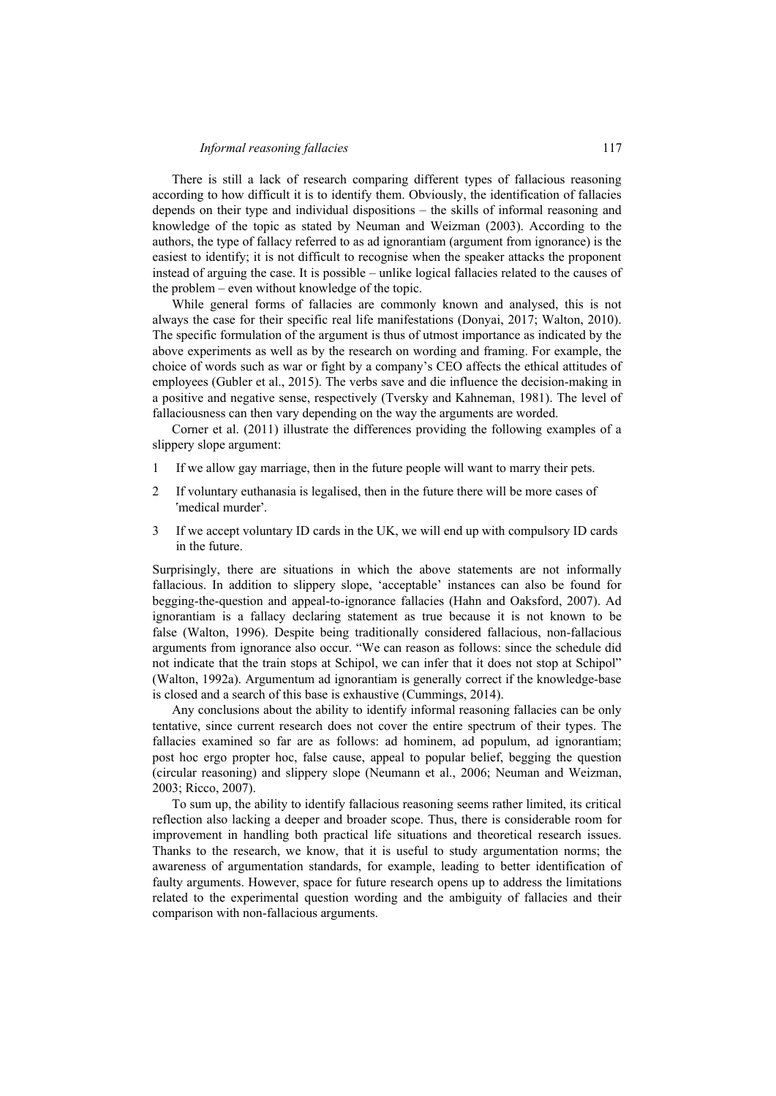There is still a lack of research comparing different types of fallacious reasoning according to how difficult it is to identify them. Obviously, the identification of fallacies depends on their type and individual dispositions – the skills of informal reasoning and knowledge of the topic as stated by Neuman and Weizman (2003). According to the authors, the type of fallacy referred to as ad ignorantiam (argument from ignorance) is the easiest to identify; it is not difficult to recognise when the speaker attacks the proponent instead of arguing the case. It is possible – unlike logical fallacies related to the causes of the problem – even without knowledge of the topic.

While general forms of fallacies are commonly known and analysed, this is not always the case for their specific real life manifestations (Donyai, 2017; Walton, 2010). The specific formulation of the argument is thus of utmost importance as indicated by the above experiments as well as by the research on wording and framing. For example, the choice of words such as war or fight by a company's CEO affects the ethical attitudes of employees (Gubler et al., 2015). The verbs save and die influence the decision-making in a positive and negative sense, respectively (Tversky and Kahneman, 1981). The level of fallaciousness can then vary depending on the way the arguments are worded.

Corner et al. (2011) illustrate the differences providing the following examples of a slippery slope argument:

- 1 If we allow gay marriage, then in the future people will want to marry their pets.
- 2 If voluntary euthanasia is legalised, then in the future there will be more cases of ՙmedical murder՚.
- 3 If we accept voluntary ID cards in the UK, we will end up with compulsory ID cards in the future.

Surprisingly, there are situations in which the above statements are not informally fallacious. In addition to slippery slope, 'acceptable' instances can also be found for begging-the-question and appeal-to-ignorance fallacies (Hahn and Oaksford, 2007). Ad ignorantiam is a fallacy declaring statement as true because it is not known to be false (Walton, 1996). Despite being traditionally considered fallacious, non-fallacious arguments from ignorance also occur. "We can reason as follows: since the schedule did not indicate that the train stops at Schipol, we can infer that it does not stop at Schipol" (Walton, 1992a). Argumentum ad ignorantiam is generally correct if the knowledge-base is closed and a search of this base is exhaustive (Cummings, 2014).

Any conclusions about the ability to identify informal reasoning fallacies can be only tentative, since current research does not cover the entire spectrum of their types. The fallacies examined so far are as follows: ad hominem, ad populum, ad ignorantiam; post hoc ergo propter hoc, false cause, appeal to popular belief, begging the question (circular reasoning) and slippery slope (Neumann et al., 2006; Neuman and Weizman, 2003; Ricco, 2007).

To sum up, the ability to identify fallacious reasoning seems rather limited, its critical reflection also lacking a deeper and broader scope. Thus, there is considerable room for improvement in handling both practical life situations and theoretical research issues. Thanks to the research, we know, that it is useful to study argumentation norms; the awareness of argumentation standards, for example, leading to better identification of faulty arguments. However, space for future research opens up to address the limitations related to the experimental question wording and the ambiguity of fallacies and their comparison with non-fallacious arguments.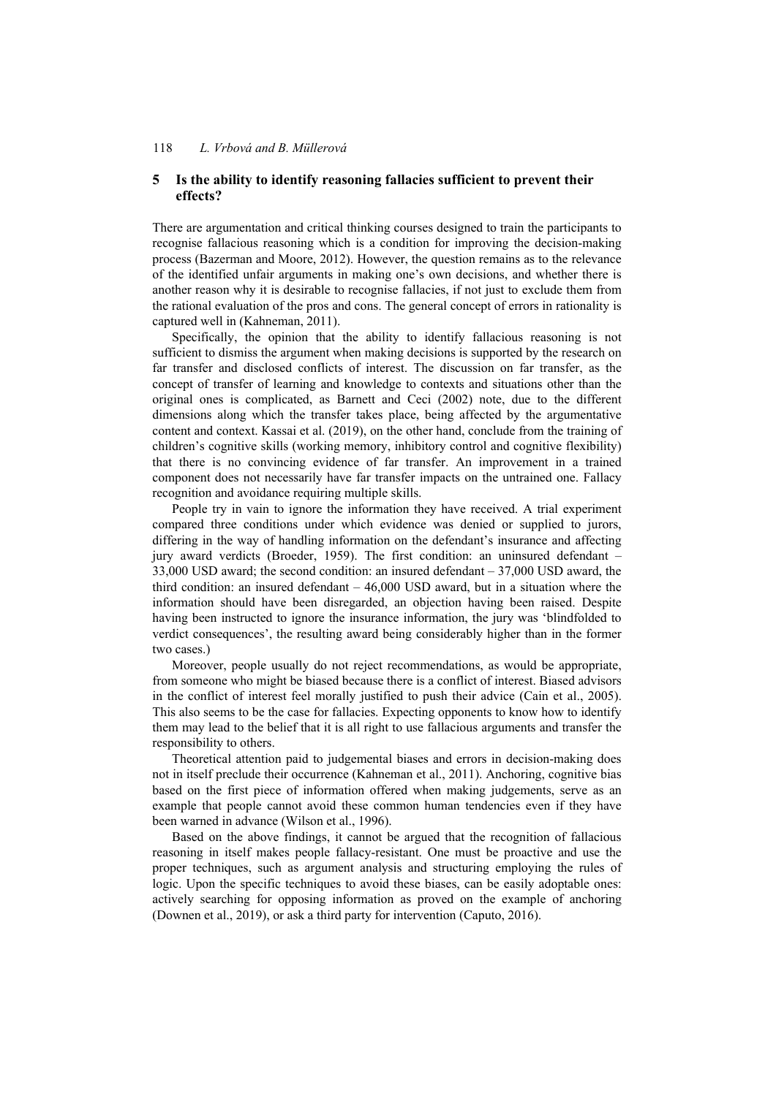## **5 Is the ability to identify reasoning fallacies sufficient to prevent their effects?**

There are argumentation and critical thinking courses designed to train the participants to recognise fallacious reasoning which is a condition for improving the decision-making process (Bazerman and Moore, 2012). However, the question remains as to the relevance of the identified unfair arguments in making one's own decisions, and whether there is another reason why it is desirable to recognise fallacies, if not just to exclude them from the rational evaluation of the pros and cons. The general concept of errors in rationality is captured well in (Kahneman, 2011).

Specifically, the opinion that the ability to identify fallacious reasoning is not sufficient to dismiss the argument when making decisions is supported by the research on far transfer and disclosed conflicts of interest. The discussion on far transfer, as the concept of transfer of learning and knowledge to contexts and situations other than the original ones is complicated, as Barnett and Ceci (2002) note, due to the different dimensions along which the transfer takes place, being affected by the argumentative content and context. Kassai et al. (2019), on the other hand, conclude from the training of children's cognitive skills (working memory, inhibitory control and cognitive flexibility) that there is no convincing evidence of far transfer. An improvement in a trained component does not necessarily have far transfer impacts on the untrained one. Fallacy recognition and avoidance requiring multiple skills.

People try in vain to ignore the information they have received. A trial experiment compared three conditions under which evidence was denied or supplied to jurors, differing in the way of handling information on the defendant's insurance and affecting jury award verdicts (Broeder, 1959). The first condition: an uninsured defendant – 33,000 USD award; the second condition: an insured defendant – 37,000 USD award, the third condition: an insured defendant – 46,000 USD award, but in a situation where the information should have been disregarded, an objection having been raised. Despite having been instructed to ignore the insurance information, the jury was 'blindfolded to verdict consequences', the resulting award being considerably higher than in the former two cases.)

Moreover, people usually do not reject recommendations, as would be appropriate, from someone who might be biased because there is a conflict of interest. Biased advisors in the conflict of interest feel morally justified to push their advice (Cain et al., 2005). This also seems to be the case for fallacies. Expecting opponents to know how to identify them may lead to the belief that it is all right to use fallacious arguments and transfer the responsibility to others.

Theoretical attention paid to judgemental biases and errors in decision-making does not in itself preclude their occurrence (Kahneman et al., 2011). Anchoring, cognitive bias based on the first piece of information offered when making judgements, serve as an example that people cannot avoid these common human tendencies even if they have been warned in advance (Wilson et al., 1996).

Based on the above findings, it cannot be argued that the recognition of fallacious reasoning in itself makes people fallacy-resistant. One must be proactive and use the proper techniques, such as argument analysis and structuring employing the rules of logic. Upon the specific techniques to avoid these biases, can be easily adoptable ones: actively searching for opposing information as proved on the example of anchoring (Downen et al., 2019), or ask a third party for intervention (Caputo, 2016).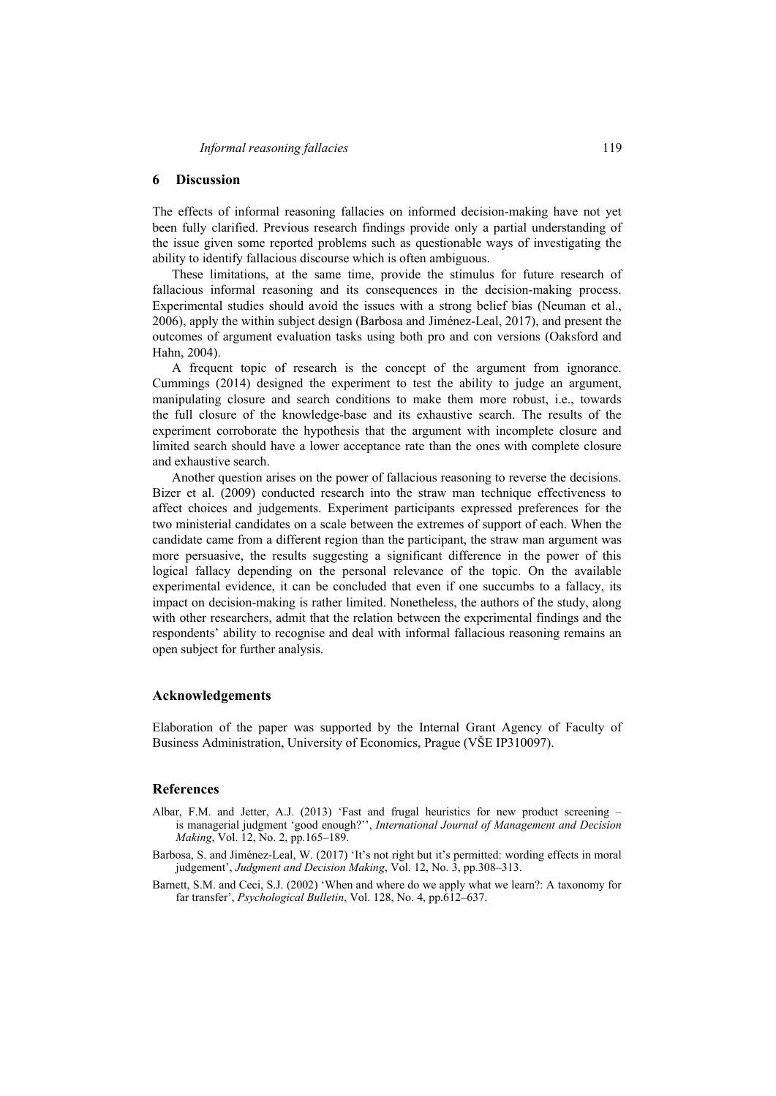## **6 Discussion**

The effects of informal reasoning fallacies on informed decision-making have not yet been fully clarified. Previous research findings provide only a partial understanding of the issue given some reported problems such as questionable ways of investigating the ability to identify fallacious discourse which is often ambiguous.

These limitations, at the same time, provide the stimulus for future research of fallacious informal reasoning and its consequences in the decision-making process. Experimental studies should avoid the issues with a strong belief bias (Neuman et al., 2006), apply the within subject design (Barbosa and Jiménez-Leal, 2017), and present the outcomes of argument evaluation tasks using both pro and con versions (Oaksford and Hahn, 2004).

A frequent topic of research is the concept of the argument from ignorance. Cummings (2014) designed the experiment to test the ability to judge an argument, manipulating closure and search conditions to make them more robust, i.e., towards the full closure of the knowledge-base and its exhaustive search. The results of the experiment corroborate the hypothesis that the argument with incomplete closure and limited search should have a lower acceptance rate than the ones with complete closure and exhaustive search.

Another question arises on the power of fallacious reasoning to reverse the decisions. Bizer et al. (2009) conducted research into the straw man technique effectiveness to affect choices and judgements. Experiment participants expressed preferences for the two ministerial candidates on a scale between the extremes of support of each. When the candidate came from a different region than the participant, the straw man argument was more persuasive, the results suggesting a significant difference in the power of this logical fallacy depending on the personal relevance of the topic. On the available experimental evidence, it can be concluded that even if one succumbs to a fallacy, its impact on decision-making is rather limited. Nonetheless, the authors of the study, along with other researchers, admit that the relation between the experimental findings and the respondents' ability to recognise and deal with informal fallacious reasoning remains an open subject for further analysis.

## **Acknowledgements**

Elaboration of the paper was supported by the Internal Grant Agency of Faculty of Business Administration, University of Economics, Prague (VŠE IP310097).

#### **References**

- Albar, F.M. and Jetter, A.J. (2013) 'Fast and frugal heuristics for new product screening is managerial judgment 'good enough?'', *International Journal of Management and Decision Making*, Vol. 12, No. 2, pp.165–189.
- Barbosa, S. and Jiménez-Leal, W. (2017) 'It's not right but it's permitted: wording effects in moral judgement', *Judgment and Decision Making*, Vol. 12, No. 3, pp.308–313.
- Barnett, S.M. and Ceci, S.J. (2002) 'When and where do we apply what we learn?: A taxonomy for far transfer', *Psychological Bulletin*, Vol. 128, No. 4, pp.612–637.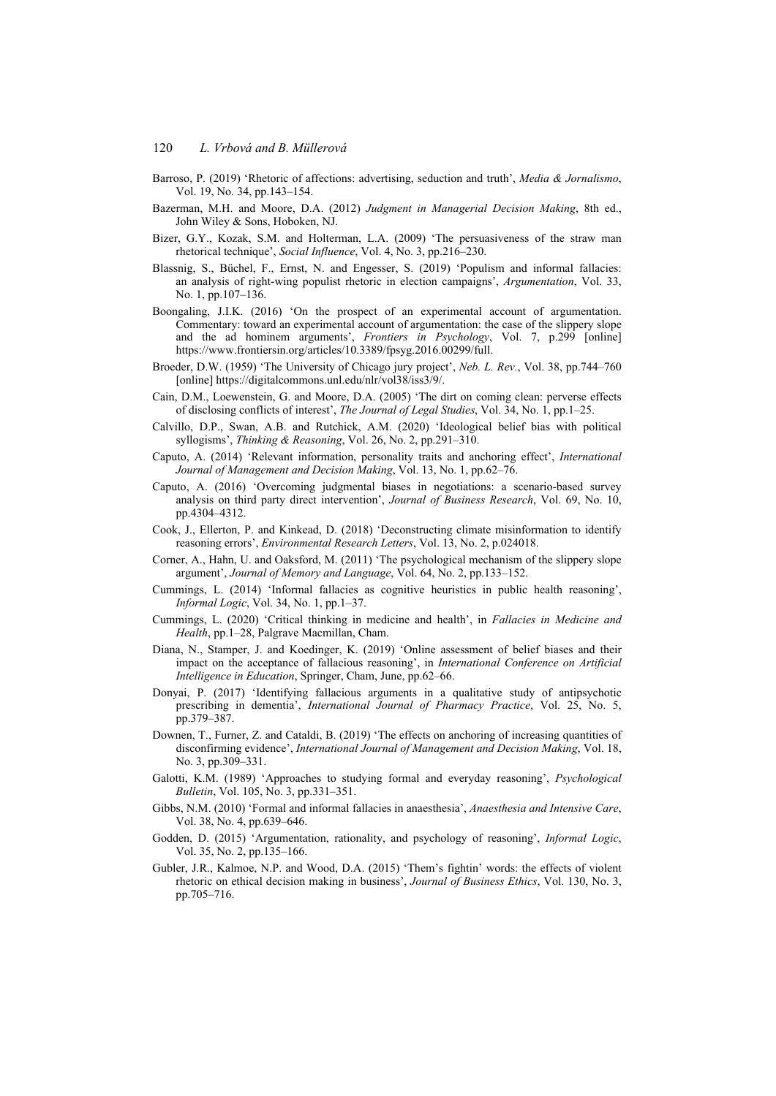- Barroso, P. (2019) 'Rhetoric of affections: advertising, seduction and truth', *Media & Jornalismo*, Vol. 19, No. 34, pp.143–154.
- Bazerman, M.H. and Moore, D.A. (2012) *Judgment in Managerial Decision Making*, 8th ed., John Wiley & Sons, Hoboken, NJ.
- Bizer, G.Y., Kozak, S.M. and Holterman, L.A. (2009) 'The persuasiveness of the straw man rhetorical technique', *Social Influence*, Vol. 4, No. 3, pp.216–230.
- Blassnig, S., Büchel, F., Ernst, N. and Engesser, S. (2019) 'Populism and informal fallacies: an analysis of right-wing populist rhetoric in election campaigns', *Argumentation*, Vol. 33, No. 1, pp.107–136.
- Boongaling, J.I.K. (2016) 'On the prospect of an experimental account of argumentation. Commentary: toward an experimental account of argumentation: the case of the slippery slope and the ad hominem arguments', *Frontiers in Psychology*, Vol. 7, p.299 [online] https://www.frontiersin.org/articles/10.3389/fpsyg.2016.00299/full.
- Broeder, D.W. (1959) 'The University of Chicago jury project', *Neb. L. Rev.*, Vol. 38, pp.744–760 [online] https://digitalcommons.unl.edu/nlr/vol38/iss3/9/.
- Cain, D.M., Loewenstein, G. and Moore, D.A. (2005) 'The dirt on coming clean: perverse effects of disclosing conflicts of interest', *The Journal of Legal Studies*, Vol. 34, No. 1, pp.1–25.
- Calvillo, D.P., Swan, A.B. and Rutchick, A.M. (2020) 'Ideological belief bias with political syllogisms', *Thinking & Reasoning*, Vol. 26, No. 2, pp.291–310.
- Caputo, A. (2014) 'Relevant information, personality traits and anchoring effect', *International Journal of Management and Decision Making*, Vol. 13, No. 1, pp.62–76.
- Caputo, A. (2016) 'Overcoming judgmental biases in negotiations: a scenario-based survey analysis on third party direct intervention', *Journal of Business Research*, Vol. 69, No. 10, pp.4304–4312.
- Cook, J., Ellerton, P. and Kinkead, D. (2018) 'Deconstructing climate misinformation to identify reasoning errors', *Environmental Research Letters*, Vol. 13, No. 2, p.024018.
- Corner, A., Hahn, U. and Oaksford, M. (2011) 'The psychological mechanism of the slippery slope argument', *Journal of Memory and Language*, Vol. 64, No. 2, pp.133–152.
- Cummings, L. (2014) 'Informal fallacies as cognitive heuristics in public health reasoning', *Informal Logic*, Vol. 34, No. 1, pp.1–37.
- Cummings, L. (2020) 'Critical thinking in medicine and health', in *Fallacies in Medicine and Health*, pp.1–28, Palgrave Macmillan, Cham.
- Diana, N., Stamper, J. and Koedinger, K. (2019) 'Online assessment of belief biases and their impact on the acceptance of fallacious reasoning', in *International Conference on Artificial Intelligence in Education*, Springer, Cham, June, pp.62–66.
- Donyai, P. (2017) 'Identifying fallacious arguments in a qualitative study of antipsychotic prescribing in dementia', *International Journal of Pharmacy Practice*, Vol. 25, No. 5, pp.379–387.
- Downen, T., Furner, Z. and Cataldi, B. (2019) 'The effects on anchoring of increasing quantities of disconfirming evidence', *International Journal of Management and Decision Making*, Vol. 18, No. 3, pp.309–331.
- Galotti, K.M. (1989) 'Approaches to studying formal and everyday reasoning', *Psychological Bulletin*, Vol. 105, No. 3, pp.331–351.
- Gibbs, N.M. (2010) 'Formal and informal fallacies in anaesthesia', *Anaesthesia and Intensive Care*, Vol. 38, No. 4, pp.639–646.
- Godden, D. (2015) 'Argumentation, rationality, and psychology of reasoning', *Informal Logic*, Vol. 35, No. 2, pp.135–166.
- Gubler, J.R., Kalmoe, N.P. and Wood, D.A. (2015) 'Them's fightin' words: the effects of violent rhetoric on ethical decision making in business', *Journal of Business Ethics*, Vol. 130, No. 3, pp.705–716.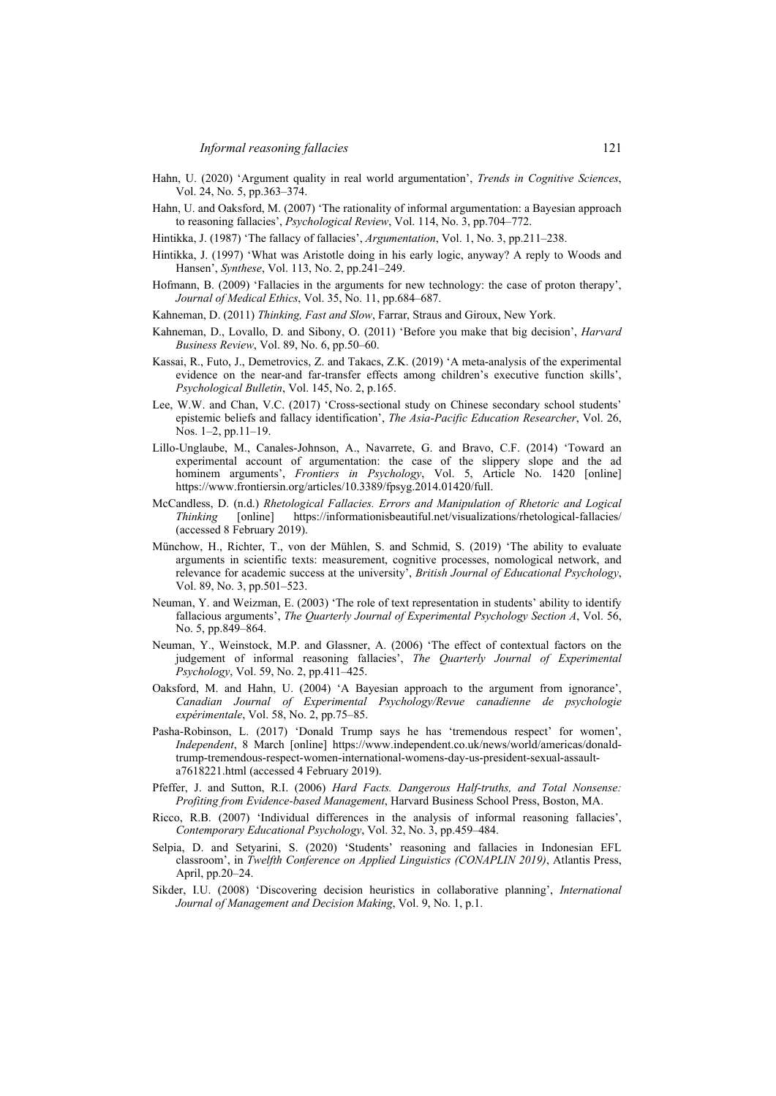- Hahn, U. (2020) 'Argument quality in real world argumentation', *Trends in Cognitive Sciences*, Vol. 24, No. 5, pp.363–374.
- Hahn, U. and Oaksford, M. (2007) 'The rationality of informal argumentation: a Bayesian approach to reasoning fallacies', *Psychological Review*, Vol. 114, No. 3, pp.704–772.
- Hintikka, J. (1987) 'The fallacy of fallacies', *Argumentation*, Vol. 1, No. 3, pp.211–238.
- Hintikka, J. (1997) 'What was Aristotle doing in his early logic, anyway? A reply to Woods and Hansen', *Synthese*, Vol. 113, No. 2, pp.241–249.
- Hofmann, B. (2009) 'Fallacies in the arguments for new technology: the case of proton therapy', *Journal of Medical Ethics*, Vol. 35, No. 11, pp.684–687.
- Kahneman, D. (2011) *Thinking, Fast and Slow*, Farrar, Straus and Giroux, New York.
- Kahneman, D., Lovallo, D. and Sibony, O. (2011) 'Before you make that big decision', *Harvard Business Review*, Vol. 89, No. 6, pp.50–60.
- Kassai, R., Futo, J., Demetrovics, Z. and Takacs, Z.K. (2019) 'A meta-analysis of the experimental evidence on the near-and far-transfer effects among children's executive function skills', *Psychological Bulletin*, Vol. 145, No. 2, p.165.
- Lee, W.W. and Chan, V.C. (2017) 'Cross-sectional study on Chinese secondary school students' epistemic beliefs and fallacy identification', *The Asia-Pacific Education Researcher*, Vol. 26, Nos. 1–2, pp.11–19.
- Lillo-Unglaube, M., Canales-Johnson, A., Navarrete, G. and Bravo, C.F. (2014) 'Toward an experimental account of argumentation: the case of the slippery slope and the ad hominem arguments', *Frontiers in Psychology*, Vol. 5, Article No. 1420 [online] https://www.frontiersin.org/articles/10.3389/fpsyg.2014.01420/full.
- McCandless, D. (n.d.) *Rhetological Fallacies. Errors and Manipulation of Rhetoric and Logical Thinking* [online] https://informationisbeautiful.net/visualizations/rhetological-fallacies/ (accessed 8 February 2019).
- Münchow, H., Richter, T., von der Mühlen, S. and Schmid, S. (2019) 'The ability to evaluate arguments in scientific texts: measurement, cognitive processes, nomological network, and relevance for academic success at the university', *British Journal of Educational Psychology*, Vol. 89, No. 3, pp.501–523.
- Neuman, Y. and Weizman, E. (2003) 'The role of text representation in students' ability to identify fallacious arguments', *The Quarterly Journal of Experimental Psychology Section A*, Vol. 56, No. 5, pp.849–864.
- Neuman, Y., Weinstock, M.P. and Glassner, A. (2006) 'The effect of contextual factors on the judgement of informal reasoning fallacies', *The Quarterly Journal of Experimental Psychology*, Vol. 59, No. 2, pp.411–425.
- Oaksford, M. and Hahn, U. (2004) 'A Bayesian approach to the argument from ignorance', *Canadian Journal of Experimental Psychology/Revue canadienne de psychologie expérimentale*, Vol. 58, No. 2, pp.75–85.
- Pasha-Robinson, L. (2017) 'Donald Trump says he has 'tremendous respect' for women', *Independent*, 8 March [online] https://www.independent.co.uk/news/world/americas/donaldtrump-tremendous-respect-women-international-womens-day-us-president-sexual-assaulta7618221.html (accessed 4 February 2019).
- Pfeffer, J. and Sutton, R.I. (2006) *Hard Facts. Dangerous Half-truths, and Total Nonsense: Profiting from Evidence-based Management*, Harvard Business School Press, Boston, MA.
- Ricco, R.B. (2007) 'Individual differences in the analysis of informal reasoning fallacies', *Contemporary Educational Psychology*, Vol. 32, No. 3, pp.459–484.
- Selpia, D. and Setyarini, S. (2020) 'Students' reasoning and fallacies in Indonesian EFL classroom', in *Twelfth Conference on Applied Linguistics (CONAPLIN 2019)*, Atlantis Press, April, pp.20–24.
- Sikder, I.U. (2008) 'Discovering decision heuristics in collaborative planning', *International Journal of Management and Decision Making*, Vol. 9, No. 1, p.1.